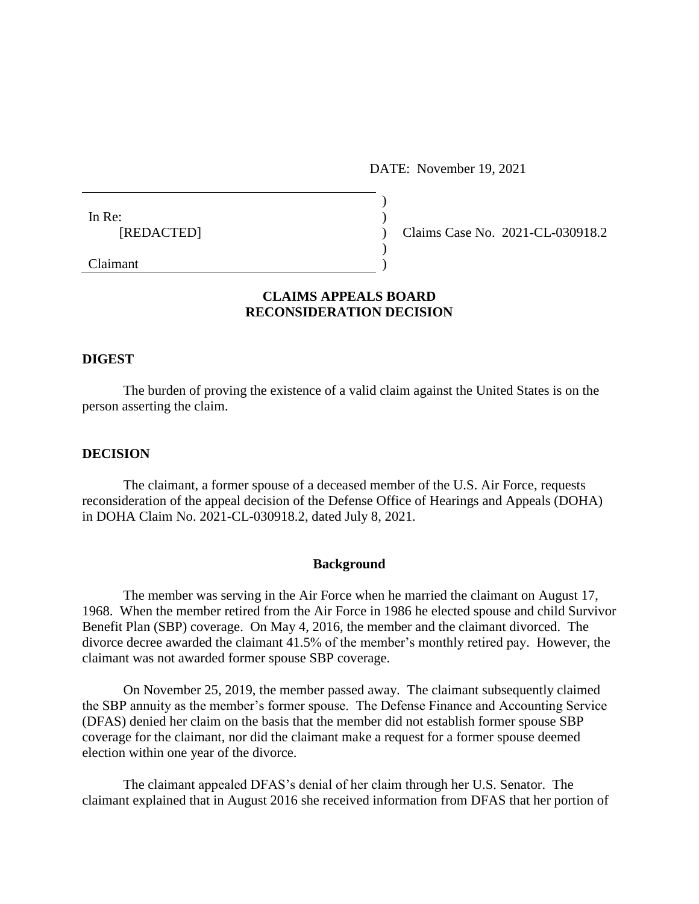DATE: November 19, 2021

| In Re:         |  |
|----------------|--|
| [REDACTED]     |  |
|                |  |
| $C_1$ $\ldots$ |  |

Claims Case No. 2021-CL-030918.2

# Claimant )

## **CLAIMS APPEALS BOARD RECONSIDERATION DECISION**

#### **DIGEST**

The burden of proving the existence of a valid claim against the United States is on the person asserting the claim.

#### **DECISION**

The claimant, a former spouse of a deceased member of the U.S. Air Force, requests reconsideration of the appeal decision of the Defense Office of Hearings and Appeals (DOHA) in DOHA Claim No. 2021-CL-030918.2, dated July 8, 2021.

#### **Background**

The member was serving in the Air Force when he married the claimant on August 17, 1968. When the member retired from the Air Force in 1986 he elected spouse and child Survivor Benefit Plan (SBP) coverage. On May 4, 2016, the member and the claimant divorced. The divorce decree awarded the claimant 41.5% of the member's monthly retired pay. However, the claimant was not awarded former spouse SBP coverage.

On November 25, 2019, the member passed away. The claimant subsequently claimed the SBP annuity as the member's former spouse. The Defense Finance and Accounting Service (DFAS) denied her claim on the basis that the member did not establish former spouse SBP coverage for the claimant, nor did the claimant make a request for a former spouse deemed election within one year of the divorce.

The claimant appealed DFAS's denial of her claim through her U.S. Senator. The claimant explained that in August 2016 she received information from DFAS that her portion of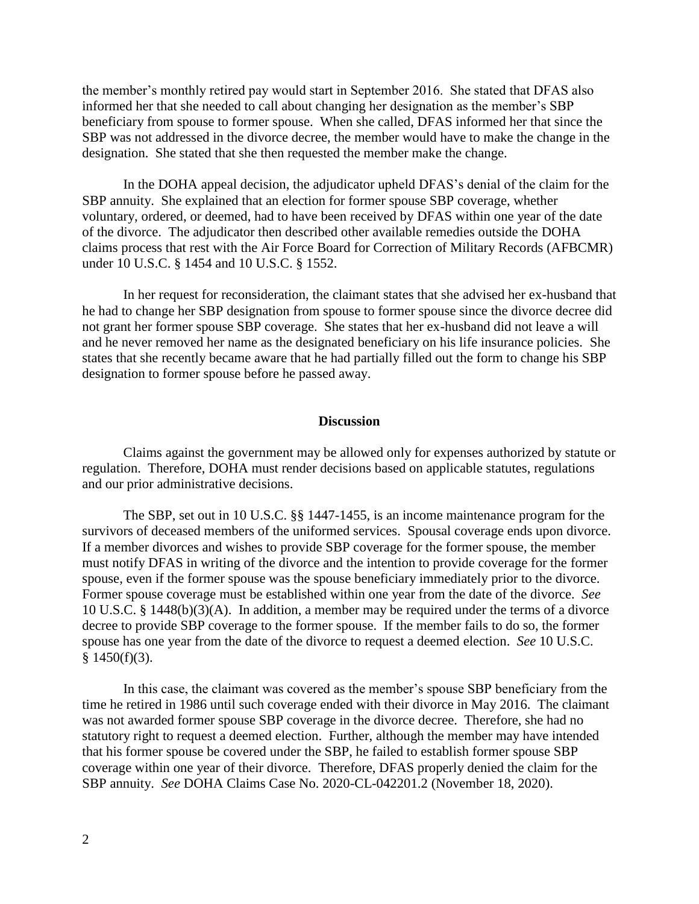the member's monthly retired pay would start in September 2016. She stated that DFAS also informed her that she needed to call about changing her designation as the member's SBP beneficiary from spouse to former spouse. When she called, DFAS informed her that since the SBP was not addressed in the divorce decree, the member would have to make the change in the designation. She stated that she then requested the member make the change.

In the DOHA appeal decision, the adjudicator upheld DFAS's denial of the claim for the SBP annuity. She explained that an election for former spouse SBP coverage, whether voluntary, ordered, or deemed, had to have been received by DFAS within one year of the date of the divorce. The adjudicator then described other available remedies outside the DOHA claims process that rest with the Air Force Board for Correction of Military Records (AFBCMR) under 10 U.S.C. § 1454 and 10 U.S.C. § 1552.

In her request for reconsideration, the claimant states that she advised her ex-husband that he had to change her SBP designation from spouse to former spouse since the divorce decree did not grant her former spouse SBP coverage. She states that her ex-husband did not leave a will and he never removed her name as the designated beneficiary on his life insurance policies. She states that she recently became aware that he had partially filled out the form to change his SBP designation to former spouse before he passed away.

### **Discussion**

Claims against the government may be allowed only for expenses authorized by statute or regulation. Therefore, DOHA must render decisions based on applicable statutes, regulations and our prior administrative decisions.

The SBP, set out in 10 U.S.C. §§ 1447-1455, is an income maintenance program for the survivors of deceased members of the uniformed services. Spousal coverage ends upon divorce. If a member divorces and wishes to provide SBP coverage for the former spouse, the member must notify DFAS in writing of the divorce and the intention to provide coverage for the former spouse, even if the former spouse was the spouse beneficiary immediately prior to the divorce. Former spouse coverage must be established within one year from the date of the divorce. *See*  10 U.S.C. § 1448(b)(3)(A). In addition, a member may be required under the terms of a divorce decree to provide SBP coverage to the former spouse. If the member fails to do so, the former spouse has one year from the date of the divorce to request a deemed election. *See* 10 U.S.C.  $§ 1450(f)(3).$ 

In this case, the claimant was covered as the member's spouse SBP beneficiary from the time he retired in 1986 until such coverage ended with their divorce in May 2016. The claimant was not awarded former spouse SBP coverage in the divorce decree. Therefore, she had no statutory right to request a deemed election. Further, although the member may have intended that his former spouse be covered under the SBP, he failed to establish former spouse SBP coverage within one year of their divorce. Therefore, DFAS properly denied the claim for the SBP annuity. *See* DOHA Claims Case No. 2020-CL-042201.2 (November 18, 2020).